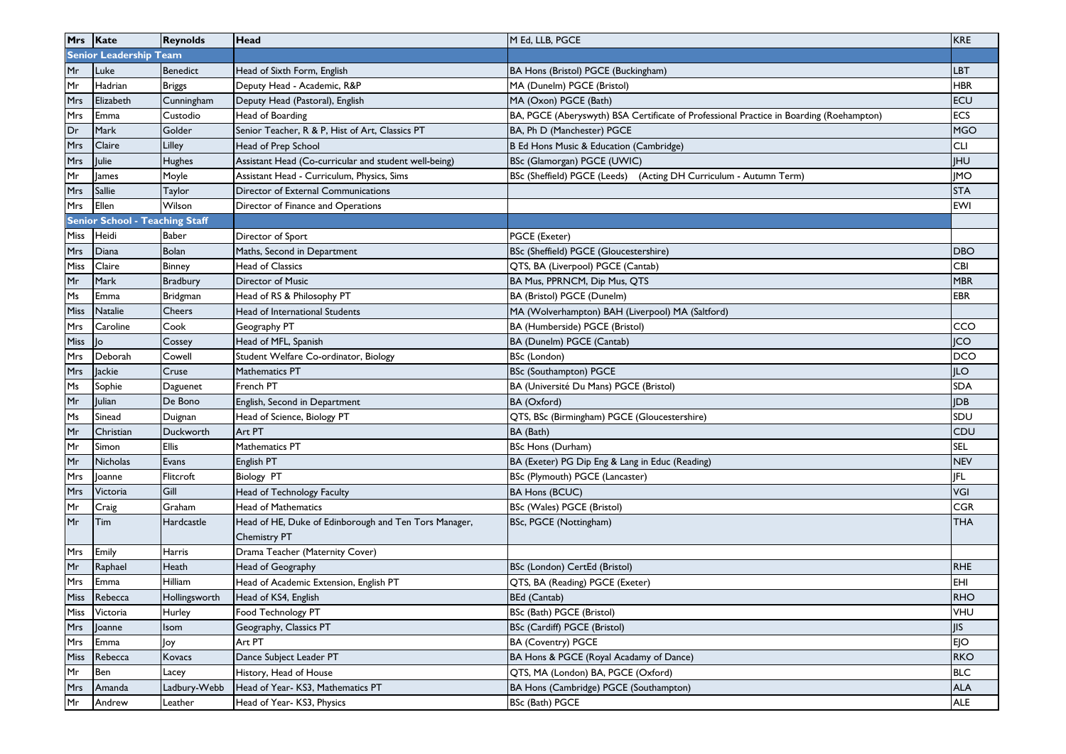|             | Mrs Kate                              | <b>Reynolds</b> | Head                                                                         | M Ed, LLB, PGCE                                                                         | <b>KRE</b> |
|-------------|---------------------------------------|-----------------|------------------------------------------------------------------------------|-----------------------------------------------------------------------------------------|------------|
|             | <b>Senior Leadership Team</b>         |                 |                                                                              |                                                                                         |            |
| Mr          | Luke                                  | Benedict        | Head of Sixth Form, English                                                  | BA Hons (Bristol) PGCE (Buckingham)                                                     | <b>LBT</b> |
| Mr          | Hadrian                               | <b>Briggs</b>   | Deputy Head - Academic, R&P                                                  | MA (Dunelm) PGCE (Bristol)                                                              | <b>HBR</b> |
| Mrs         | Elizabeth                             | Cunningham      | Deputy Head (Pastoral), English                                              | MA (Oxon) PGCE (Bath)                                                                   | <b>ECU</b> |
| Mrs         | Emma                                  | Custodio        | Head of Boarding                                                             | BA, PGCE (Aberyswyth) BSA Certificate of Professional Practice in Boarding (Roehampton) | <b>ECS</b> |
| Dr          | Mark                                  | Golder          | Senior Teacher, R & P, Hist of Art, Classics PT                              | BA, Ph D (Manchester) PGCE                                                              | <b>MGO</b> |
| <b>Mrs</b>  | Claire                                | Lilley          | Head of Prep School                                                          | B Ed Hons Music & Education (Cambridge)                                                 | <b>CLI</b> |
| Mrs         | <b>Julie</b>                          | Hughes          | Assistant Head (Co-curricular and student well-being)                        | BSc (Glamorgan) PGCE (UWIC)                                                             | <b>IHU</b> |
| Mr          | <b>James</b>                          | Moyle           | Assistant Head - Curriculum, Physics, Sims                                   | BSc (Sheffield) PGCE (Leeds) (Acting DH Curriculum - Autumn Term)                       | <b>IMO</b> |
| Mrs         | Sallie                                | Taylor          | Director of External Communications                                          |                                                                                         | <b>STA</b> |
| Mrs         | Ellen                                 | Wilson          | Director of Finance and Operations                                           |                                                                                         | EWI        |
|             | <b>Senior School - Teaching Staff</b> |                 |                                                                              |                                                                                         |            |
| Miss        | Heidi                                 | <b>Baber</b>    | Director of Sport                                                            | PGCE (Exeter)                                                                           |            |
| <b>Mrs</b>  | Diana                                 | Bolan           | Maths, Second in Department                                                  | BSc (Sheffield) PGCE (Gloucestershire)                                                  | <b>DBO</b> |
| Miss        | Claire                                | Binney          | <b>Head of Classics</b>                                                      | QTS, BA (Liverpool) PGCE (Cantab)                                                       | <b>CBI</b> |
| Mr          | Mark                                  | <b>Bradbury</b> | <b>Director of Music</b>                                                     | BA Mus, PPRNCM, Dip Mus, QTS                                                            | <b>MBR</b> |
| Ms          | Emma                                  | Bridgman        | Head of RS & Philosophy PT                                                   | BA (Bristol) PGCE (Dunelm)                                                              | <b>EBR</b> |
| <b>Miss</b> | Natalie                               | Cheers          | Head of International Students                                               | MA (Wolverhampton) BAH (Liverpool) MA (Saltford)                                        |            |
| Mrs         | Caroline                              | Cook            | Geography PT                                                                 | BA (Humberside) PGCE (Bristol)                                                          | CCO        |
| Miss        | lo.                                   | Cossey          | Head of MFL, Spanish                                                         | BA (Dunelm) PGCE (Cantab)                                                               | <b>JCO</b> |
| Mrs         | Deborah                               | Cowell          | Student Welfare Co-ordinator, Biology                                        | BSc (London)                                                                            | <b>DCO</b> |
| <b>Mrs</b>  | lackie                                | Cruse           | Mathematics PT                                                               | BSc (Southampton) PGCE                                                                  | <b>ILO</b> |
| Ms          | Sophie                                | Daguenet        | French PT                                                                    | BA (Université Du Mans) PGCE (Bristol)                                                  | <b>SDA</b> |
| Mr          | Julian                                | De Bono         | English, Second in Department                                                | BA (Oxford)                                                                             | <b>IDB</b> |
| Ms          | Sinead                                | Duignan         | Head of Science, Biology PT                                                  | QTS, BSc (Birmingham) PGCE (Gloucestershire)                                            | SDU        |
| Mr          | Christian                             | Duckworth       | Art PT                                                                       | BA (Bath)                                                                               | CDU        |
| Mr          | Simon                                 | <b>Ellis</b>    | Mathematics PT                                                               | <b>BSc Hons (Durham)</b>                                                                | <b>SEL</b> |
| Mr          | <b>Nicholas</b>                       | Evans           | English PT                                                                   | BA (Exeter) PG Dip Eng & Lang in Educ (Reading)                                         | <b>NEV</b> |
| Mrs         | Joanne                                | Flitcroft       | <b>Biology PT</b>                                                            | BSc (Plymouth) PGCE (Lancaster)                                                         | <b>IFL</b> |
| Mrs         | Victoria                              | Gill            | Head of Technology Faculty                                                   | <b>BA Hons (BCUC)</b>                                                                   | VGI        |
| Mr          | Craig                                 | Graham          | <b>Head of Mathematics</b>                                                   | BSc (Wales) PGCE (Bristol)                                                              | <b>CGR</b> |
| Mr          | Tim                                   | Hardcastle      | Head of HE, Duke of Edinborough and Ten Tors Manager,<br><b>Chemistry PT</b> | BSc, PGCE (Nottingham)                                                                  | <b>THA</b> |
| Mrs         | Emily                                 | Harris          | Drama Teacher (Maternity Cover)                                              |                                                                                         |            |
| Mr          | Raphael                               | Heath           | Head of Geography                                                            | BSc (London) CertEd (Bristol)                                                           | <b>RHE</b> |
| Mrs         | Emma                                  | Hilliam         | Head of Academic Extension, English PT                                       | QTS, BA (Reading) PGCE (Exeter)                                                         | EHI        |
|             | Miss Rebecca                          | Hollingsworth   | Head of KS4, English                                                         | BEd (Cantab)                                                                            | RHO        |
| Miss        | Victoria                              | Hurley          | Food Technology PT                                                           | BSc (Bath) PGCE (Bristol)                                                               | VHU        |
| Mrs         | Joanne                                | Isom            | Geography, Classics PT                                                       | BSc (Cardiff) PGCE (Bristol)                                                            | JIS        |
| Mrs         | Emma                                  | Joy             | Art PT                                                                       | BA (Coventry) PGCE                                                                      | <b>EJO</b> |
| Miss        | Rebecca                               | Kovacs          | Dance Subject Leader PT                                                      | BA Hons & PGCE (Royal Acadamy of Dance)                                                 | <b>RKO</b> |
| Mr          | Ben                                   | Lacey           | History, Head of House                                                       | QTS, MA (London) BA, PGCE (Oxford)                                                      | <b>BLC</b> |
| Mrs         | Amanda                                | Ladbury-Webb    | Head of Year- KS3, Mathematics PT                                            | BA Hons (Cambridge) PGCE (Southampton)                                                  | <b>ALA</b> |
| Mr          | Andrew                                | Leather         | Head of Year- KS3, Physics                                                   | BSc (Bath) PGCE                                                                         | <b>ALE</b> |
|             |                                       |                 |                                                                              |                                                                                         |            |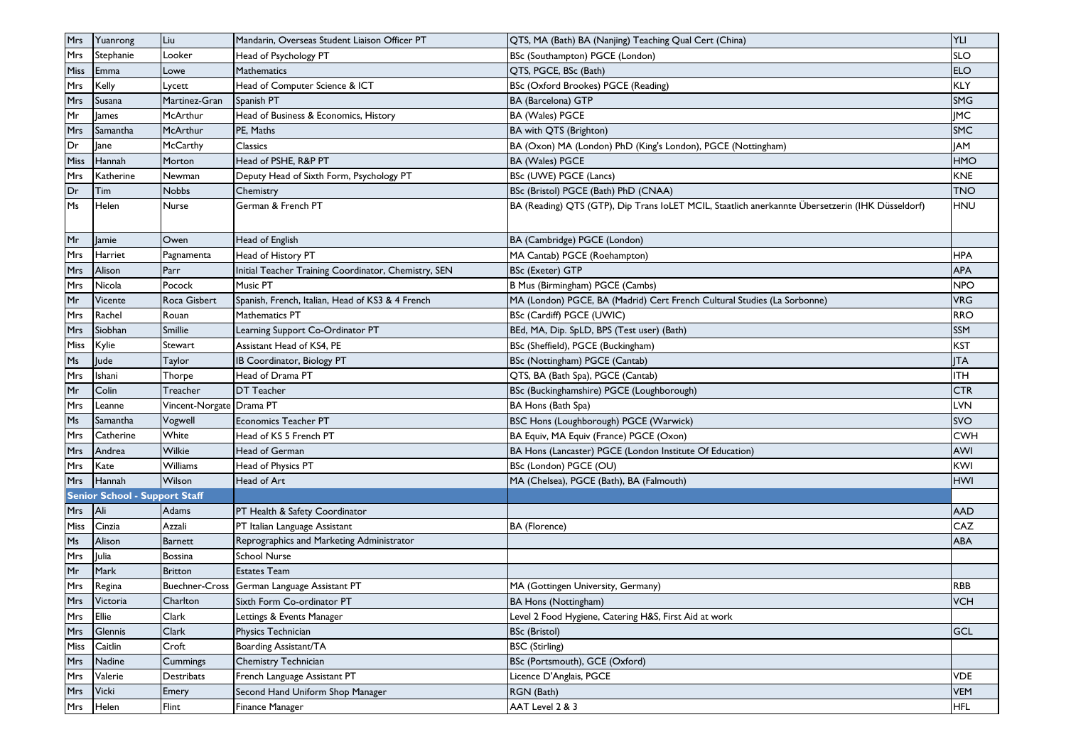| <b>Mrs</b>     | Yuanrong                             | Liu                      | Mandarin, Overseas Student Liaison Officer PT        | QTS, MA (Bath) BA (Nanjing) Teaching Qual Cert (China)                                           | YLI        |
|----------------|--------------------------------------|--------------------------|------------------------------------------------------|--------------------------------------------------------------------------------------------------|------------|
| <b>Mrs</b>     | Stephanie                            | Looker                   | Head of Psychology PT                                | BSc (Southampton) PGCE (London)                                                                  | SLO        |
| Miss           | Emma                                 | Lowe                     | Mathematics                                          | QTS, PGCE, BSc (Bath)                                                                            | ELO        |
| <b>Mrs</b>     | Kelly                                | Lycett                   | Head of Computer Science & ICT                       | BSc (Oxford Brookes) PGCE (Reading)                                                              | KLY        |
| Mrs            | Susana                               | Martinez-Gran            | Spanish PT                                           | BA (Barcelona) GTP                                                                               | SMG        |
| Mr             | lames                                | McArthur                 | Head of Business & Economics, History                | <b>BA (Wales) PGCE</b>                                                                           | <b>IMC</b> |
| Mrs            | Samantha                             | McArthur                 | PE, Maths                                            | <b>BA with QTS (Brighton)</b>                                                                    | SMC        |
| Dr             | Jane                                 | McCarthy                 | Classics                                             | BA (Oxon) MA (London) PhD (King's London), PGCE (Nottingham)                                     | <b>JAM</b> |
| <b>Miss</b>    | Hannah                               | Morton                   | Head of PSHE, R&P PT                                 | BA (Wales) PGCE                                                                                  | HMO        |
| Mrs            | Katherine                            | Newman                   | Deputy Head of Sixth Form, Psychology PT             | BSc (UWE) PGCE (Lancs)                                                                           | KNE        |
| Dr             | Tim                                  | <b>Nobbs</b>             | Chemistry                                            | BSc (Bristol) PGCE (Bath) PhD (CNAA)                                                             | <b>TNO</b> |
| Ms             | Helen                                | Nurse                    | German & French PT                                   | BA (Reading) QTS (GTP), Dip Trans IoLET MCIL, Staatlich anerkannte Übersetzerin (IHK Düsseldorf) | <b>HNU</b> |
| Mr             | Jamie                                | Owen                     | Head of English                                      | BA (Cambridge) PGCE (London)                                                                     |            |
| <b>Mrs</b>     | Harriet                              | Pagnamenta               | Head of History PT                                   | MA Cantab) PGCE (Roehampton)                                                                     | HPA        |
| <b>Mrs</b>     | Alison                               | Parr                     | Initial Teacher Training Coordinator, Chemistry, SEN | BSc (Exeter) GTP                                                                                 | APA        |
| Mrs            | Nicola                               | Pocock                   | Music PT                                             | B Mus (Birmingham) PGCE (Cambs)                                                                  | NPO        |
| Mr             | Vicente                              | Roca Gisbert             | Spanish, French, Italian, Head of KS3 & 4 French     | MA (London) PGCE, BA (Madrid) Cert French Cultural Studies (La Sorbonne)                         | VRG        |
| <b>Mrs</b>     | Rachel                               | Rouan                    | Mathematics PT                                       | BSc (Cardiff) PGCE (UWIC)                                                                        | <b>RRO</b> |
| <b>Mrs</b>     | Siobhan                              | <b>Smillie</b>           | Learning Support Co-Ordinator PT                     | BEd, MA, Dip. SpLD, BPS (Test user) (Bath)                                                       | SSM        |
| Miss           | Kylie                                | Stewart                  | Assistant Head of KS4, PE                            | BSc (Sheffield), PGCE (Buckingham)                                                               | KST        |
| Ms             | Jude                                 | Taylor                   | IB Coordinator, Biology PT                           | BSc (Nottingham) PGCE (Cantab)                                                                   | <b>ITA</b> |
| Mrs            | Ishani                               | Thorpe                   | Head of Drama PT                                     | QTS, BA (Bath Spa), PGCE (Cantab)                                                                | ITH        |
| Mr             | Colin                                | Treacher                 | <b>DT Teacher</b>                                    | BSc (Buckinghamshire) PGCE (Loughborough)                                                        | <b>CTR</b> |
| <b>Mrs</b>     | Leanne                               | Vincent-Norgate Drama PT |                                                      | BA Hons (Bath Spa)                                                                               | LVN        |
| Ms             | Samantha                             | Vogwell                  | <b>Economics Teacher PT</b>                          | BSC Hons (Loughborough) PGCE (Warwick)                                                           | <b>SVO</b> |
| <b>Mrs</b>     | Catherine                            | White                    | Head of KS 5 French PT                               | BA Equiv, MA Equiv (France) PGCE (Oxon)                                                          | <b>CWH</b> |
| <b>Mrs</b>     | Andrea                               | Wilkie                   | Head of German                                       | BA Hons (Lancaster) PGCE (London Institute Of Education)                                         | AWI        |
| <b>Mrs</b>     | Kate                                 | <b>Williams</b>          | Head of Physics PT                                   | BSc (London) PGCE (OU)                                                                           | KWI        |
| <b>Mrs</b>     | Hannah                               | Wilson                   | Head of Art                                          | MA (Chelsea), PGCE (Bath), BA (Falmouth)                                                         | HWI        |
|                | <b>Senior School - Support Staff</b> |                          |                                                      |                                                                                                  |            |
| Mrs            | Ali                                  | Adams                    | PT Health & Safety Coordinator                       |                                                                                                  | AAD        |
| Miss           | Cinzia                               | Azzali                   | PT Italian Language Assistant                        | <b>BA</b> (Florence)                                                                             | CAZ        |
| M <sub>S</sub> | Alison                               | Barnett                  | Reprographics and Marketing Administrator            |                                                                                                  | ABA        |
| Mrs            | Julia                                | <b>Bossina</b>           | <b>School Nurse</b>                                  |                                                                                                  |            |
| Mr             | Mark                                 | <b>Britton</b>           | <b>Estates Team</b>                                  |                                                                                                  |            |
| Mrs            | Regina                               |                          | Buechner-Cross German Language Assistant PT          | MA (Gottingen University, Germany)                                                               | RBB        |
|                | Mrs Victoria                         | Charlton                 | Sixth Form Co-ordinator PT                           | <b>BA Hons (Nottingham)</b>                                                                      | <b>VCH</b> |
| Mrs            | Ellie                                | Clark                    | Lettings & Events Manager                            | Level 2 Food Hygiene, Catering H&S, First Aid at work                                            |            |
| Mrs            | Glennis                              | Clark                    | Physics Technician                                   | <b>BSc (Bristol)</b>                                                                             | GCL        |
| Miss           | Caitlin                              | Croft                    | Boarding Assistant/TA                                | <b>BSC</b> (Stirling)                                                                            |            |
| Mrs            | Nadine                               | Cummings                 | Chemistry Technician                                 | BSc (Portsmouth), GCE (Oxford)                                                                   |            |
| Mrs            | Valerie                              | Destribats               | French Language Assistant PT                         | Licence D'Anglais, PGCE                                                                          | VDE.       |
| <b>Mrs</b>     | Vicki                                | Emery                    | Second Hand Uniform Shop Manager                     | RGN (Bath)                                                                                       | <b>VEM</b> |
| Mrs            | Helen                                | Flint                    | Finance Manager                                      | AAT Level 2 & 3                                                                                  | <b>HFL</b> |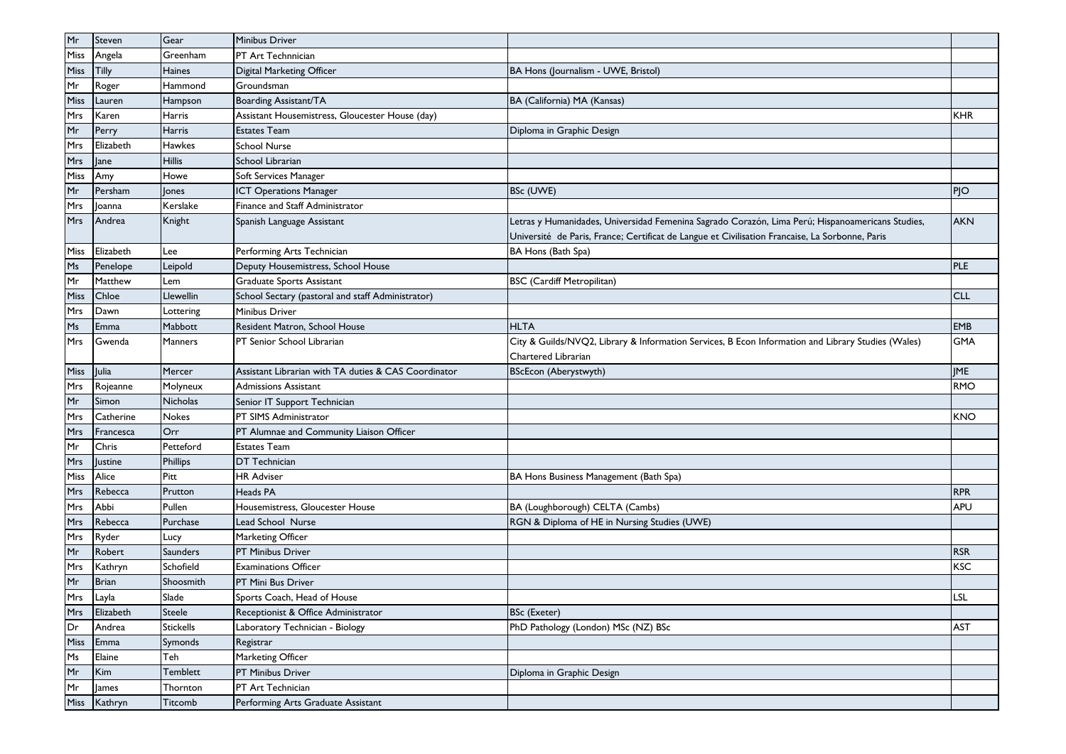| Mr         | Steven         | Gear             | Minibus Driver                                       |                                                                                                    |            |
|------------|----------------|------------------|------------------------------------------------------|----------------------------------------------------------------------------------------------------|------------|
| Miss       | Angela         | Greenham         | PT Art Technnician                                   |                                                                                                    |            |
| Miss       | Tilly          | Haines           | Digital Marketing Officer                            | BA Hons (Journalism - UWE, Bristol)                                                                |            |
| Mr         | Roger          | Hammond          | Groundsman                                           |                                                                                                    |            |
| Miss       | Lauren         | Hampson          | Boarding Assistant/TA                                | BA (California) MA (Kansas)                                                                        |            |
| Mrs        | Karen          | Harris           | Assistant Housemistress, Gloucester House (day)      |                                                                                                    | <b>KHR</b> |
| Mr         | Perry          | Harris           | <b>Estates Team</b>                                  | Diploma in Graphic Design                                                                          |            |
| Mrs        | Elizabeth      | Hawkes           | <b>School Nurse</b>                                  |                                                                                                    |            |
| Mrs        | ane            | <b>Hillis</b>    | School Librarian                                     |                                                                                                    |            |
| Miss       | Amy            | Howe             | Soft Services Manager                                |                                                                                                    |            |
| Mr         | Persham        | Jones            | <b>ICT Operations Manager</b>                        | BSc (UWE)                                                                                          | PJO        |
| Mrs        | 0anna          | Kerslake         | Finance and Staff Administrator                      |                                                                                                    |            |
| <b>Mrs</b> | Andrea         | Knight           | Spanish Language Assistant                           | Letras y Humanidades, Universidad Femenina Sagrado Corazón, Lima Perú; Hispanoamericans Studies,   | <b>AKN</b> |
|            |                |                  |                                                      | Université de Paris, France; Certificat de Langue et Civilisation Francaise, La Sorbonne, Paris    |            |
| Miss       | Elizabeth      | Lee              | Performing Arts Technician                           | BA Hons (Bath Spa)                                                                                 |            |
| Ms         | Penelope       | Leipold          | Deputy Housemistress, School House                   |                                                                                                    | <b>PLE</b> |
| Mr         | Matthew        | Lem              | Graduate Sports Assistant                            | <b>BSC</b> (Cardiff Metropilitan)                                                                  |            |
| Miss       | Chloe          | Llewellin        | School Sectary (pastoral and staff Administrator)    |                                                                                                    | <b>CLL</b> |
| Mrs        | Dawn           | Lottering        | Minibus Driver                                       |                                                                                                    |            |
| Ms         | Emma           | Mabbott          | Resident Matron, School House                        | <b>HLTA</b>                                                                                        | EMB        |
| Mrs        | Gwenda         | <b>Manners</b>   | PT Senior School Librarian                           | City & Guilds/NVQ2, Library & Information Services, B Econ Information and Library Studies (Wales) | <b>GMA</b> |
|            |                |                  |                                                      | Chartered Librarian                                                                                |            |
| Miss       | Julia          | Mercer           | Assistant Librarian with TA duties & CAS Coordinator | <b>BScEcon (Aberystwyth)</b>                                                                       | <b>JME</b> |
| Mrs        | Rojeanne       | Molyneux         | <b>Admissions Assistant</b>                          |                                                                                                    | <b>RMO</b> |
| Mr         | Simon          | Nicholas         | Senior IT Support Technician                         |                                                                                                    |            |
| Mrs        | Catherine      | Nokes            | PT SIMS Administrator                                |                                                                                                    | <b>KNO</b> |
| Mrs        | Francesca      | Orr              | PT Alumnae and Community Liaison Officer             |                                                                                                    |            |
| Mr         | Chris          | Petteford        | <b>Estates Team</b>                                  |                                                                                                    |            |
| Mrs        | <b>Justine</b> | Phillips         | <b>DT</b> Technician                                 |                                                                                                    |            |
| Miss       | Alice          | Pitt             | <b>HR Adviser</b>                                    | BA Hons Business Management (Bath Spa)                                                             |            |
| Mrs        | Rebecca        | Prutton          | Heads PA                                             |                                                                                                    | <b>RPR</b> |
| Mrs        | Abbi           | Pullen           | Housemistress, Gloucester House                      | BA (Loughborough) CELTA (Cambs)                                                                    | <b>APU</b> |
| Mrs        | Rebecca        | Purchase         | Lead School Nurse                                    | RGN & Diploma of HE in Nursing Studies (UWE)                                                       |            |
| Mrs        | Ryder          | Lucy             | Marketing Officer                                    |                                                                                                    |            |
| Mr         | Robert         | <b>Saunders</b>  | PT Minibus Driver                                    |                                                                                                    | <b>RSR</b> |
| Mrs        | Kathryn        | Schofield        | <b>Examinations Officer</b>                          |                                                                                                    | <b>KSC</b> |
| Mr         | <b>Brian</b>   | Shoosmith        | PT Mini Bus Driver                                   |                                                                                                    |            |
| Mrs        | Layla          | Slade            | Sports Coach, Head of House                          |                                                                                                    | LSL        |
| Mrs        | Elizabeth      | Steele           | Receptionist & Office Administrator                  | <b>BSc (Exeter)</b>                                                                                |            |
| Dr         | Andrea         | <b>Stickells</b> | Laboratory Technician - Biology                      | PhD Pathology (London) MSc (NZ) BSc                                                                | AST        |
| Miss       | Emma           | Symonds          | Registrar                                            |                                                                                                    |            |
| Ms         | Elaine         | Teh              | Marketing Officer                                    |                                                                                                    |            |
| Mr         | Kim            | Temblett         | PT Minibus Driver                                    | Diploma in Graphic Design                                                                          |            |
| Mr         | James          | Thornton         | PT Art Technician                                    |                                                                                                    |            |
| Miss       | Kathryn        | Titcomb          | Performing Arts Graduate Assistant                   |                                                                                                    |            |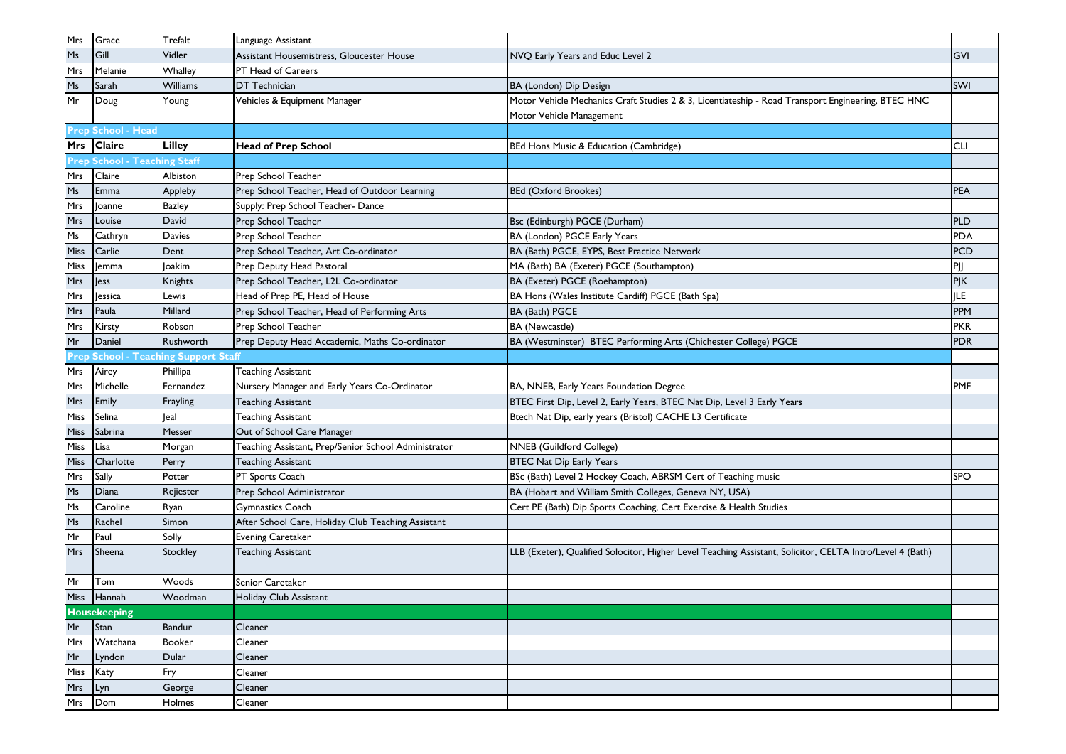| Mrs            | Grace                        | Trefalt                              | Language Assistant                                   |                                                                                                           |            |
|----------------|------------------------------|--------------------------------------|------------------------------------------------------|-----------------------------------------------------------------------------------------------------------|------------|
| M <sub>s</sub> | Gill                         | Vidler                               | Assistant Housemistress, Gloucester House            | NVQ Early Years and Educ Level 2                                                                          | GVI        |
| Mrs            | Melanie                      | Whalley                              | PT Head of Careers                                   |                                                                                                           |            |
| M <sub>S</sub> | Sarah                        | Williams                             | <b>DT</b> Technician                                 | BA (London) Dip Design                                                                                    | <b>SWI</b> |
| Mr             | Doug                         | Young                                | Vehicles & Equipment Manager                         | Motor Vehicle Mechanics Craft Studies 2 & 3, Licentiateship - Road Transport Engineering, BTEC HNC        |            |
|                |                              |                                      |                                                      | Motor Vehicle Management                                                                                  |            |
|                | Prep School - Head           |                                      |                                                      |                                                                                                           |            |
|                | Mrs Claire                   | Lilley                               | <b>Head of Prep School</b>                           | BEd Hons Music & Education (Cambridge)                                                                    | <b>CLI</b> |
|                | Prep School - Teaching Staff |                                      |                                                      |                                                                                                           |            |
| Mrs            | Claire                       | Albiston                             | Prep School Teacher                                  |                                                                                                           |            |
| Ms             | Emma                         | Appleby                              | Prep School Teacher, Head of Outdoor Learning        | <b>BEd (Oxford Brookes)</b>                                                                               | <b>PEA</b> |
| Mrs            | Joanne                       | <b>Bazley</b>                        | Supply: Prep School Teacher- Dance                   |                                                                                                           |            |
| Mrs            | Louise                       | David                                | Prep School Teacher                                  | Bsc (Edinburgh) PGCE (Durham)                                                                             | <b>PLD</b> |
| Ms             | Cathryn                      | Davies                               | Prep School Teacher                                  | BA (London) PGCE Early Years                                                                              | PDA        |
| Miss           | Carlie                       | Dent                                 | Prep School Teacher, Art Co-ordinator                | BA (Bath) PGCE, EYPS, Best Practice Network                                                               | <b>PCD</b> |
| Miss           | emma                         | Joakim                               | Prep Deputy Head Pastoral                            | MA (Bath) BA (Exeter) PGCE (Southampton)                                                                  | PJJ        |
| Mrs            | ess                          | Knights                              | Prep School Teacher, L2L Co-ordinator                | BA (Exeter) PGCE (Roehampton)                                                                             | PJK        |
| Mrs            | <b>Jessica</b>               | Lewis                                | Head of Prep PE, Head of House                       | BA Hons (Wales Institute Cardiff) PGCE (Bath Spa)                                                         | JLE.       |
| Mrs            | Paula                        | Millard                              | Prep School Teacher, Head of Performing Arts         | BA (Bath) PGCE                                                                                            | PPM        |
| Mrs            | Kirsty                       | Robson                               | Prep School Teacher                                  | <b>BA</b> (Newcastle)                                                                                     | <b>PKR</b> |
| Mr             | Daniel                       | Rushworth                            | Prep Deputy Head Accademic, Maths Co-ordinator       | BA (Westminster) BTEC Performing Arts (Chichester College) PGCE                                           | <b>PDR</b> |
|                |                              | Prep School - Teaching Support Staff |                                                      |                                                                                                           |            |
| Mrs            | Airey                        | Phillipa                             | Teaching Assistant                                   |                                                                                                           |            |
| Mrs            | Michelle                     | Fernandez                            | Nursery Manager and Early Years Co-Ordinator         | BA, NNEB, Early Years Foundation Degree                                                                   | PMF        |
| Mrs            | Emily                        | Frayling                             | <b>Teaching Assistant</b>                            | BTEC First Dip, Level 2, Early Years, BTEC Nat Dip, Level 3 Early Years                                   |            |
| Miss           | Selina                       | leal                                 | <b>Teaching Assistant</b>                            | Btech Nat Dip, early years (Bristol) CACHE L3 Certificate                                                 |            |
| Miss           | Sabrina                      | Messer                               | Out of School Care Manager                           |                                                                                                           |            |
| Miss           | Lisa                         | Morgan                               | Teaching Assistant, Prep/Senior School Administrator | NNEB (Guildford College)                                                                                  |            |
| Miss           | Charlotte                    | Perry                                | <b>Teaching Assistant</b>                            | <b>BTEC Nat Dip Early Years</b>                                                                           |            |
| Mrs            | Sally                        | Potter                               | PT Sports Coach                                      | BSc (Bath) Level 2 Hockey Coach, ABRSM Cert of Teaching music                                             | <b>SPO</b> |
| Ms             | Diana                        | Rejiester                            | Prep School Administrator                            | BA (Hobart and William Smith Colleges, Geneva NY, USA)                                                    |            |
| Ms             | Caroline                     | Ryan                                 | <b>Gymnastics Coach</b>                              | Cert PE (Bath) Dip Sports Coaching, Cert Exercise & Health Studies                                        |            |
| Ms             | Rachel                       | Simon                                | After School Care, Holiday Club Teaching Assistant   |                                                                                                           |            |
| Mr             | Paul                         | Solly                                | <b>Evening Caretaker</b>                             |                                                                                                           |            |
| <b>Mrs</b>     | Sheena                       | Stockley                             | <b>Teaching Assistant</b>                            | LLB (Exeter), Qualified Solocitor, Higher Level Teaching Assistant, Solicitor, CELTA Intro/Level 4 (Bath) |            |
| Mr             | Tom                          | Woods                                | Senior Caretaker                                     |                                                                                                           |            |
|                | Miss Hannah                  | Woodman                              | Holiday Club Assistant                               |                                                                                                           |            |
|                | <b>Housekeeping</b>          |                                      |                                                      |                                                                                                           |            |
| Mr             | Stan                         | Bandur                               | Cleaner                                              |                                                                                                           |            |
| Mrs            | Watchana                     | <b>Booker</b>                        | Cleaner                                              |                                                                                                           |            |
| Mr             | Lyndon                       | Dular                                | Cleaner                                              |                                                                                                           |            |
| Miss           | Katy                         | Fry                                  | Cleaner                                              |                                                                                                           |            |
| Mrs            | Lyn                          | George                               | Cleaner                                              |                                                                                                           |            |
| Mrs            | Dom                          | Holmes                               | Cleaner                                              |                                                                                                           |            |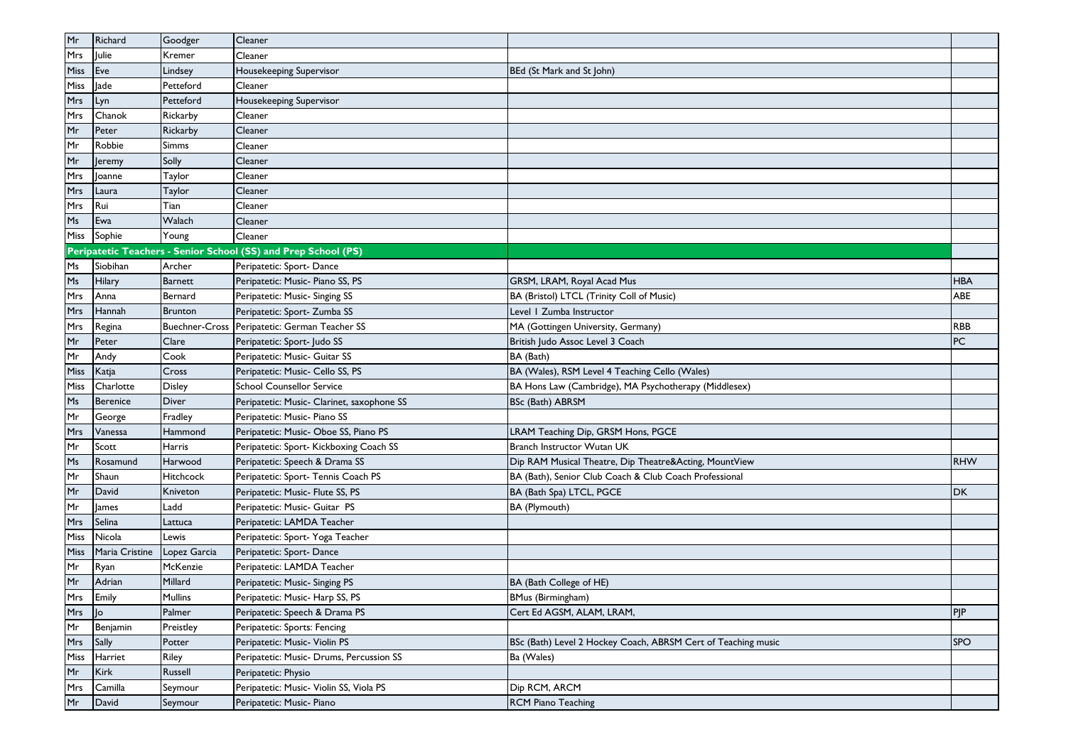| Mr         | Richard        | Goodger        | Cleaner                                                        |                                                               |            |
|------------|----------------|----------------|----------------------------------------------------------------|---------------------------------------------------------------|------------|
| Mrs        | Julie          | Kremer         | Cleaner                                                        |                                                               |            |
| Miss       | Eve            | Lindsey        | Housekeeping Supervisor                                        | BEd (St Mark and St John)                                     |            |
| Miss       | lade           | Petteford      | Cleaner                                                        |                                                               |            |
| <b>Mrs</b> | Lyn            | Petteford      | Housekeeping Supervisor                                        |                                                               |            |
| Mrs        | Chanok         | Rickarby       | Cleaner                                                        |                                                               |            |
| Mr         | Peter          | Rickarby       | Cleaner                                                        |                                                               |            |
| Mr         | Robbie         | Simms          | Cleaner                                                        |                                                               |            |
| Mr         | Jeremy         | Solly          | Cleaner                                                        |                                                               |            |
| Mrs        | Joanne         | Taylor         | Cleaner                                                        |                                                               |            |
| Mrs        | Laura          | Taylor         | Cleaner                                                        |                                                               |            |
| Mrs        | Rui            | Tian           | Cleaner                                                        |                                                               |            |
| Ms         | Ewa            | Walach         | Cleaner                                                        |                                                               |            |
| Miss       | Sophie         | Young          | Cleaner                                                        |                                                               |            |
|            |                |                | Peripatetic Teachers - Senior School (SS) and Prep School (PS) |                                                               |            |
| Ms         | Siobihan       | Archer         | Peripatetic: Sport- Dance                                      |                                                               |            |
| Ms         | Hilary         | <b>Barnett</b> | Peripatetic: Music- Piano SS, PS                               | GRSM, LRAM, Royal Acad Mus                                    | <b>HBA</b> |
| Mrs        | Anna           | Bernard        | Peripatetic: Music- Singing SS                                 | BA (Bristol) LTCL (Trinity Coll of Music)                     | ABE        |
| <b>Mrs</b> | Hannah         | <b>Brunton</b> | Peripatetic: Sport- Zumba SS                                   | Level   Zumba Instructor                                      |            |
| Mrs        | Regina         |                | Buechner-Cross Peripatetic: German Teacher SS                  | MA (Gottingen University, Germany)                            | <b>RBB</b> |
| Mr         | Peter          | Clare          | Peripatetic: Sport- Judo SS                                    | British Judo Assoc Level 3 Coach                              | PC         |
| Mr         | Andy           | Cook           | Peripatetic: Music- Guitar SS                                  | BA (Bath)                                                     |            |
| Miss       | Katja          | Cross          | Peripatetic: Music- Cello SS, PS                               | BA (Wales), RSM Level 4 Teaching Cello (Wales)                |            |
| Miss       | Charlotte      | <b>Disley</b>  | <b>School Counsellor Service</b>                               | BA Hons Law (Cambridge), MA Psychotherapy (Middlesex)         |            |
| Ms         | Berenice       | <b>Diver</b>   | Peripatetic: Music- Clarinet, saxophone SS                     | BSc (Bath) ABRSM                                              |            |
| Mr         | George         | Fradley        | Peripatetic: Music- Piano SS                                   |                                                               |            |
| Mrs        | Vanessa        | Hammond        | Peripatetic: Music- Oboe SS, Piano PS                          | LRAM Teaching Dip, GRSM Hons, PGCE                            |            |
| Mr         | Scott          | Harris         | Peripatetic: Sport- Kickboxing Coach SS                        | Branch Instructor Wutan UK                                    |            |
| Ms         | Rosamund       | Harwood        | Peripatetic: Speech & Drama SS                                 | Dip RAM Musical Theatre, Dip Theatre&Acting, MountView        | <b>RHW</b> |
| Mr         | Shaun          | Hitchcock      | Peripatetic: Sport- Tennis Coach PS                            | BA (Bath), Senior Club Coach & Club Coach Professional        |            |
| Mr         | David          | Kniveton       | Peripatetic: Music- Flute SS, PS                               | BA (Bath Spa) LTCL, PGCE                                      | <b>DK</b>  |
| Mr         | <b>James</b>   | Ladd           | Peripatetic: Music- Guitar PS                                  | <b>BA</b> (Plymouth)                                          |            |
| Mrs        | Selina         | Lattuca        | Peripatetic: LAMDA Teacher                                     |                                                               |            |
| Miss       | Nicola         | Lewis          | Peripatetic: Sport- Yoga Teacher                               |                                                               |            |
| Miss       | Maria Cristine | Lopez Garcia   | Peripatetic: Sport- Dance                                      |                                                               |            |
| Mr         | Ryan           | McKenzie       | Peripatetic: LAMDA Teacher                                     |                                                               |            |
| Mr         | Adrian         | Millard        | Peripatetic: Music- Singing PS                                 | BA (Bath College of HE)                                       |            |
| Mrs        | Emily          | Mullins        | Peripatetic: Music- Harp SS, PS                                | BMus (Birmingham)                                             |            |
| Mrs        | $ $ lo         | Palmer         | Peripatetic: Speech & Drama PS                                 | Cert Ed AGSM, ALAM, LRAM,                                     | PJP        |
| Mr         | Benjamin       | Preistley      | Peripatetic: Sports: Fencing                                   |                                                               |            |
| Mrs        | Sally          | Potter         | Peripatetic: Music- Violin PS                                  | BSc (Bath) Level 2 Hockey Coach, ABRSM Cert of Teaching music | <b>SPO</b> |
| Miss       | Harriet        | Riley          | Peripatetic: Music- Drums, Percussion SS                       | Ba (Wales)                                                    |            |
| Mr         | <b>Kirk</b>    | Russell        | Peripatetic: Physio                                            |                                                               |            |
| Mrs        | Camilla        | Seymour        | Peripatetic: Music- Violin SS, Viola PS                        | Dip RCM, ARCM                                                 |            |
| Mr         | David          | Seymour        | Peripatetic: Music- Piano                                      | <b>RCM Piano Teaching</b>                                     |            |